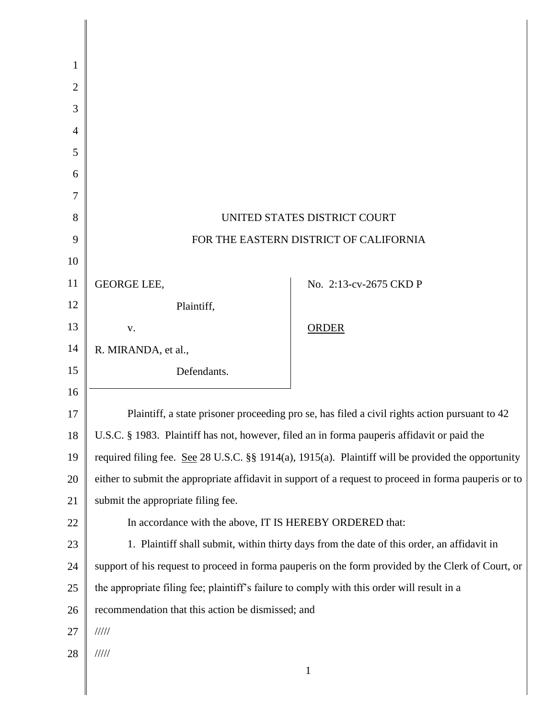| 1              |                                                                                                       |                        |  |
|----------------|-------------------------------------------------------------------------------------------------------|------------------------|--|
| $\overline{2}$ |                                                                                                       |                        |  |
| 3              |                                                                                                       |                        |  |
| 4              |                                                                                                       |                        |  |
| 5              |                                                                                                       |                        |  |
| 6              |                                                                                                       |                        |  |
| 7              |                                                                                                       |                        |  |
| 8              | UNITED STATES DISTRICT COURT                                                                          |                        |  |
| 9              | FOR THE EASTERN DISTRICT OF CALIFORNIA                                                                |                        |  |
| 10             |                                                                                                       |                        |  |
| 11             | <b>GEORGE LEE,</b>                                                                                    | No. 2:13-cv-2675 CKD P |  |
| 12             | Plaintiff,                                                                                            |                        |  |
| 13             | ${\bf V}$ .                                                                                           | <b>ORDER</b>           |  |
| 14             | R. MIRANDA, et al.,                                                                                   |                        |  |
| 15             | Defendants.                                                                                           |                        |  |
| 16             |                                                                                                       |                        |  |
| 17             | Plaintiff, a state prisoner proceeding pro se, has filed a civil rights action pursuant to 42         |                        |  |
| 18             | U.S.C. § 1983. Plaintiff has not, however, filed an in forma pauperis affidavit or paid the           |                        |  |
| 19             | required filing fee. See 28 U.S.C. §§ 1914(a), 1915(a). Plaintiff will be provided the opportunity    |                        |  |
| 20             | either to submit the appropriate affidavit in support of a request to proceed in forma pauperis or to |                        |  |
| 21             | submit the appropriate filing fee.                                                                    |                        |  |
| 22             | In accordance with the above, IT IS HEREBY ORDERED that:                                              |                        |  |
| 23             | 1. Plaintiff shall submit, within thirty days from the date of this order, an affidavit in            |                        |  |
| 24             | support of his request to proceed in forma pauperis on the form provided by the Clerk of Court, or    |                        |  |
| 25             | the appropriate filing fee; plaintiff's failure to comply with this order will result in a            |                        |  |
| 26             | recommendation that this action be dismissed; and                                                     |                        |  |
| 27             | 11111                                                                                                 |                        |  |
| 28             | 11111                                                                                                 |                        |  |
|                |                                                                                                       | $\mathbf{1}$           |  |

║